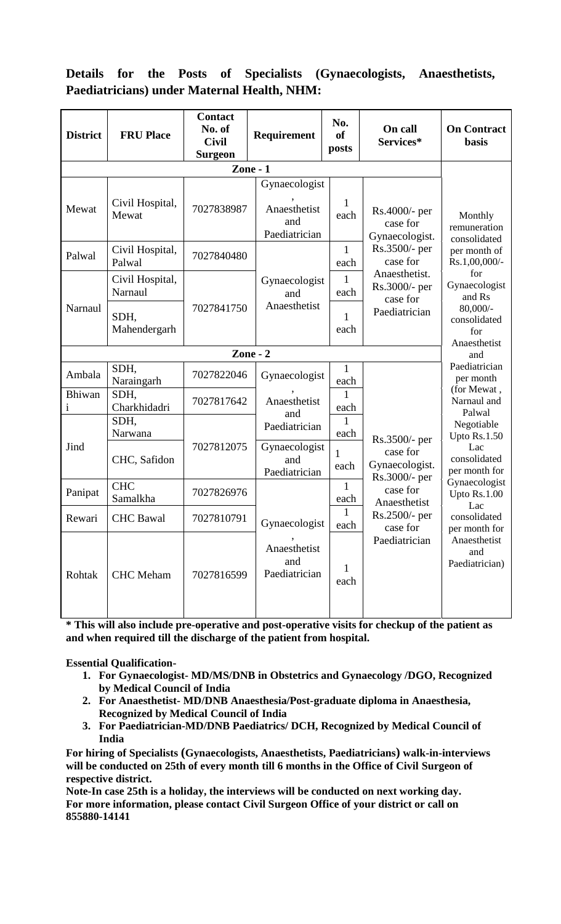## **Details for the Posts of Specialists (Gynaecologists, Anaesthetists, Paediatricians) under Maternal Health, NHM:**

| <b>District</b> | <b>FRU Place</b>           | <b>Contact</b><br>No. of<br><b>Civil</b><br><b>Surgeon</b> | Requirement                                           | No.<br><sub>of</sub><br>posts | On call<br>Services*                                                                                                                   | <b>On Contract</b><br><b>basis</b>                                                                                                                                                   |  |
|-----------------|----------------------------|------------------------------------------------------------|-------------------------------------------------------|-------------------------------|----------------------------------------------------------------------------------------------------------------------------------------|--------------------------------------------------------------------------------------------------------------------------------------------------------------------------------------|--|
|                 |                            |                                                            |                                                       |                               |                                                                                                                                        |                                                                                                                                                                                      |  |
| Mewat           | Civil Hospital,<br>Mewat   | 7027838987                                                 | Gynaecologist<br>Anaesthetist<br>and<br>Paediatrician | 1<br>each                     | $Rs.4000/-$ per<br>case for<br>Gynaecologist.                                                                                          | Monthly<br>remuneration<br>consolidated                                                                                                                                              |  |
| Palwal          | Civil Hospital,<br>Palwal  | 7027840480                                                 |                                                       | $\mathbf{1}$<br>each          | Rs.3500/- per<br>case for<br>Anaesthetist.<br>Rs.3000/- per<br>case for<br>Paediatrician                                               | per month of<br>Rs.1,00,000/-<br>for<br>Gynaecologist<br>and Rs<br>$80,000/-$<br>consolidated<br>for<br>Anaesthetist<br>and<br>Paediatrician<br>per month<br>(for Mewat,             |  |
|                 | Civil Hospital,<br>Narnaul |                                                            | Gynaecologist<br>and<br>Anaesthetist                  | 1<br>each                     |                                                                                                                                        |                                                                                                                                                                                      |  |
| Narnaul         | SDH,<br>Mahendergarh       | 7027841750                                                 |                                                       | 1<br>each                     |                                                                                                                                        |                                                                                                                                                                                      |  |
|                 |                            | Zone - $2$                                                 |                                                       |                               |                                                                                                                                        |                                                                                                                                                                                      |  |
| Ambala          | SDH,<br>Naraingarh         | 7027822046                                                 | Gynaecologist                                         | $\mathbf{1}$<br>each          |                                                                                                                                        |                                                                                                                                                                                      |  |
| Bhiwan<br>1     | SDH,<br>Charkhidadri       | 7027817642                                                 | 1<br>Anaesthetist<br>each<br>and                      |                               | Narnaul and<br>Palwal                                                                                                                  |                                                                                                                                                                                      |  |
|                 | SDH,<br>Narwana            |                                                            | Paediatrician                                         | $\mathbf{1}$<br>each          | Rs.3500/- per<br>case for<br>Gynaecologist.<br>Rs.3000/- per<br>case for<br>Anaesthetist<br>Rs.2500/- per<br>case for<br>Paediatrician | Negotiable<br>Upto Rs.1.50<br>Lac<br>consolidated<br>per month for<br>Gynaecologist<br>Upto Rs.1.00<br>Lac<br>consolidated<br>per month for<br>Anaesthetist<br>and<br>Paediatrician) |  |
| Jind            | CHC, Safidon               | 7027812075                                                 | Gynaecologist<br>and<br>Paediatrician                 | 1<br>each                     |                                                                                                                                        |                                                                                                                                                                                      |  |
| Panipat         | <b>CHC</b><br>Samalkha     | 7027826976                                                 |                                                       | $\mathbf{1}$<br>each          |                                                                                                                                        |                                                                                                                                                                                      |  |
| Rewari          | <b>CHC</b> Bawal           | 7027810791                                                 | Gynaecologist                                         | 1<br>each                     |                                                                                                                                        |                                                                                                                                                                                      |  |
| Rohtak          | <b>CHC</b> Meham           | 7027816599                                                 | Anaesthetist<br>and<br>Paediatrician                  | 1<br>each                     |                                                                                                                                        |                                                                                                                                                                                      |  |

**\* This will also include pre-operative and post-operative visits for checkup of the patient as and when required till the discharge of the patient from hospital.**

**Essential Qualification-**

- **1. For Gynaecologist- MD/MS/DNB in Obstetrics and Gynaecology /DGO, Recognized by Medical Council of India**
- **2. For Anaesthetist- MD/DNB Anaesthesia/Post-graduate diploma in Anaesthesia, Recognized by Medical Council of India**
- **3. For Paediatrician-MD/DNB Paediatrics/ DCH, Recognized by Medical Council of India**

**For hiring of Specialists (Gynaecologists, Anaesthetists, Paediatricians) walk-in-interviews will be conducted on 25th of every month till 6 months in the Office of Civil Surgeon of respective district.**

**Note-In case 25th is a holiday, the interviews will be conducted on next working day. For more information, please contact Civil Surgeon Office of your district or call on 855880-14141**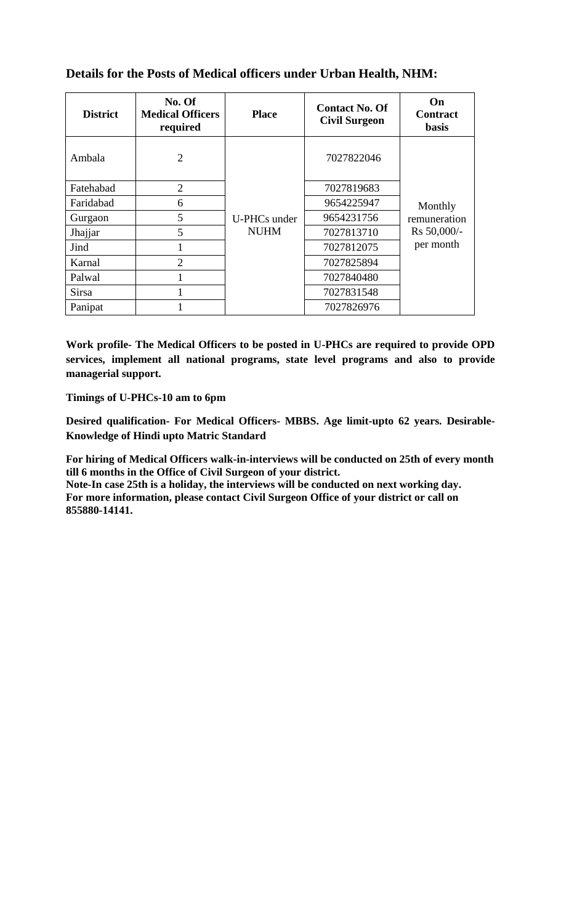| <b>District</b> | No. Of<br><b>Medical Officers</b><br>required | <b>Place</b> | <b>Contact No. Of</b><br><b>Civil Surgeon</b> | On<br><b>Contract</b><br><b>basis</b>    |  |
|-----------------|-----------------------------------------------|--------------|-----------------------------------------------|------------------------------------------|--|
| Ambala          | $\overline{2}$                                |              | 7027822046                                    |                                          |  |
| Fatehabad       | $\overline{2}$                                |              | 7027819683                                    |                                          |  |
| Faridabad       | 6                                             |              | 9654225947                                    | Monthly                                  |  |
| Gurgaon         | 5                                             | U-PHCs under | 9654231756                                    | remuneration<br>Rs 50,000/-<br>per month |  |
| Jhajjar         | 5                                             | <b>NUHM</b>  | 7027813710                                    |                                          |  |
| Jind            |                                               |              | 7027812075                                    |                                          |  |
| Karnal          | $\overline{2}$                                |              | 7027825894                                    |                                          |  |
| Palwal          |                                               |              | 7027840480                                    |                                          |  |
| <b>Sirsa</b>    |                                               |              | 7027831548                                    |                                          |  |
| Panipat         |                                               |              | 7027826976                                    |                                          |  |

## **Details for the Posts of Medical officers under Urban Health, NHM:**

**Work profile- The Medical Officers to be posted in U-PHCs are required to provide OPD services, implement all national programs, state level programs and also to provide managerial support.**

**Timings of U-PHCs-10 am to 6pm**

**Desired qualification- For Medical Officers- MBBS. Age limit-upto 62 years. Desirable-Knowledge of Hindi upto Matric Standard**

**For hiring of Medical Officers walk-in-interviews will be conducted on 25th of every month till 6 months in the Office of Civil Surgeon of your district. Note-In case 25th is a holiday, the interviews will be conducted on next working day. For more information, please contact Civil Surgeon Office of your district or call on** 

**855880-14141.**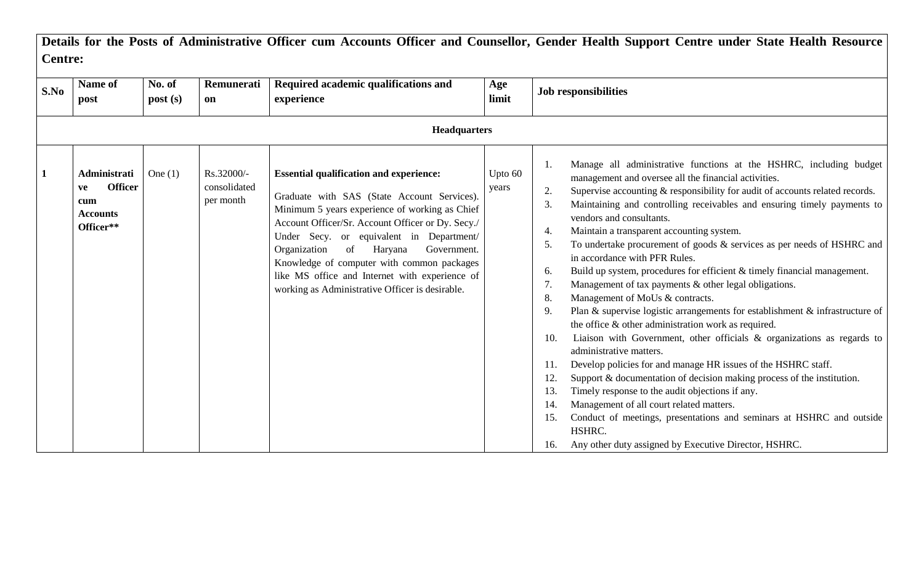|                     | <b>Centre:</b>                                                              |                   |                                         |                                                                                                                                                                                                                                                                                                                                                                                                                                                     |                  |                                                                                                                                                                                                                                                                                                                                                                                                                                                                                                                                                                                                                                                                                                                                                                                                                                                                                                                                                                                                                                                                                                                                                                                                                                                                                                                                                                                                 |  |  |
|---------------------|-----------------------------------------------------------------------------|-------------------|-----------------------------------------|-----------------------------------------------------------------------------------------------------------------------------------------------------------------------------------------------------------------------------------------------------------------------------------------------------------------------------------------------------------------------------------------------------------------------------------------------------|------------------|-------------------------------------------------------------------------------------------------------------------------------------------------------------------------------------------------------------------------------------------------------------------------------------------------------------------------------------------------------------------------------------------------------------------------------------------------------------------------------------------------------------------------------------------------------------------------------------------------------------------------------------------------------------------------------------------------------------------------------------------------------------------------------------------------------------------------------------------------------------------------------------------------------------------------------------------------------------------------------------------------------------------------------------------------------------------------------------------------------------------------------------------------------------------------------------------------------------------------------------------------------------------------------------------------------------------------------------------------------------------------------------------------|--|--|
| S.No                | Name of<br>post                                                             | No. of<br>post(s) | Remunerati<br>on                        | Required academic qualifications and<br>experience                                                                                                                                                                                                                                                                                                                                                                                                  | Age<br>limit     | <b>Job responsibilities</b>                                                                                                                                                                                                                                                                                                                                                                                                                                                                                                                                                                                                                                                                                                                                                                                                                                                                                                                                                                                                                                                                                                                                                                                                                                                                                                                                                                     |  |  |
| <b>Headquarters</b> |                                                                             |                   |                                         |                                                                                                                                                                                                                                                                                                                                                                                                                                                     |                  |                                                                                                                                                                                                                                                                                                                                                                                                                                                                                                                                                                                                                                                                                                                                                                                                                                                                                                                                                                                                                                                                                                                                                                                                                                                                                                                                                                                                 |  |  |
| $\mathbf{1}$        | Administrati<br><b>Officer</b><br>ve<br>cum<br><b>Accounts</b><br>Officer** | One $(1)$         | Rs.32000/-<br>consolidated<br>per month | <b>Essential qualification and experience:</b><br>Graduate with SAS (State Account Services).<br>Minimum 5 years experience of working as Chief<br>Account Officer/Sr. Account Officer or Dy. Secy./<br>Under Secy. or equivalent in Department/<br>Organization<br>of<br>Government.<br>Haryana<br>Knowledge of computer with common packages<br>like MS office and Internet with experience of<br>working as Administrative Officer is desirable. | Upto 60<br>years | Manage all administrative functions at the HSHRC, including budget<br>-1.<br>management and oversee all the financial activities.<br>Supervise accounting & responsibility for audit of accounts related records.<br>2.<br>Maintaining and controlling receivables and ensuring timely payments to<br>3.<br>vendors and consultants.<br>Maintain a transparent accounting system.<br>4.<br>To undertake procurement of goods $\&$ services as per needs of HSHRC and<br>5.<br>in accordance with PFR Rules.<br>Build up system, procedures for efficient & timely financial management.<br>6.<br>Management of tax payments & other legal obligations.<br>7.<br>Management of MoUs & contracts.<br>8.<br>Plan & supervise logistic arrangements for establishment $\&$ infrastructure of<br>9.<br>the office $\&$ other administration work as required.<br>Liaison with Government, other officials $\&$ organizations as regards to<br>10.<br>administrative matters.<br>Develop policies for and manage HR issues of the HSHRC staff.<br>11.<br>Support & documentation of decision making process of the institution.<br>Timely response to the audit objections if any.<br>13.<br>Management of all court related matters.<br>14.<br>Conduct of meetings, presentations and seminars at HSHRC and outside<br>15.<br>HSHRC.<br>Any other duty assigned by Executive Director, HSHRC.<br>16. |  |  |

**Details for the Posts of Administrative Officer cum Accounts Officer and Counsellor, Gender Health Support Centre under State Health Resource**